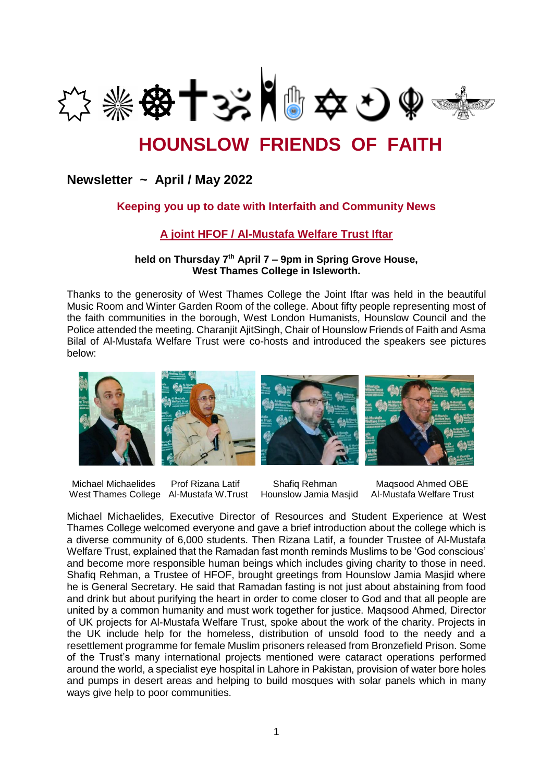

# **HOUNSLOW FRIENDS OF FAITH**

## **Newsletter ~ April / May 2022**

## **Keeping you up to date with Interfaith and Community News**

## **A joint HFOF / Al-Mustafa Welfare Trust Iftar**

#### **held on Thursday 7th April 7 – 9pm in Spring Grove House, West Thames College in Isleworth.**

Thanks to the generosity of West Thames College the Joint Iftar was held in the beautiful Music Room and Winter Garden Room of the college. About fifty people representing most of the faith communities in the borough, West London Humanists, Hounslow Council and the Police attended the meeting. Charanjit AjitSingh, Chair of Hounslow Friends of Faith and Asma Bilal of Al-Mustafa Welfare Trust were co-hosts and introduced the speakers see pictures below:



 Michael Michaelides Prof Rizana Latif Shafiq Rehman Maqsood Ahmed OBE West Thames College Al-Mustafa W.Trust Hounslow Jamia Masjid Al-Mustafa Welfare Trust

Michael Michaelides, Executive Director of Resources and Student Experience at West Thames College welcomed everyone and gave a brief introduction about the college which is a diverse community of 6,000 students. Then Rizana Latif, a founder Trustee of Al-Mustafa Welfare Trust, explained that the Ramadan fast month reminds Muslims to be 'God conscious' and become more responsible human beings which includes giving charity to those in need. Shafiq Rehman, a Trustee of HFOF, brought greetings from Hounslow Jamia Masjid where he is General Secretary. He said that Ramadan fasting is not just about abstaining from food and drink but about purifying the heart in order to come closer to God and that all people are united by a common humanity and must work together for justice. Maqsood Ahmed, Director of UK projects for Al-Mustafa Welfare Trust, spoke about the work of the charity. Projects in the UK include help for the homeless, distribution of unsold food to the needy and a resettlement programme for female Muslim prisoners released from Bronzefield Prison. Some of the Trust's many international projects mentioned were cataract operations performed around the world, a specialist eye hospital in Lahore in Pakistan, provision of water bore holes and pumps in desert areas and helping to build mosques with solar panels which in many ways give help to poor communities.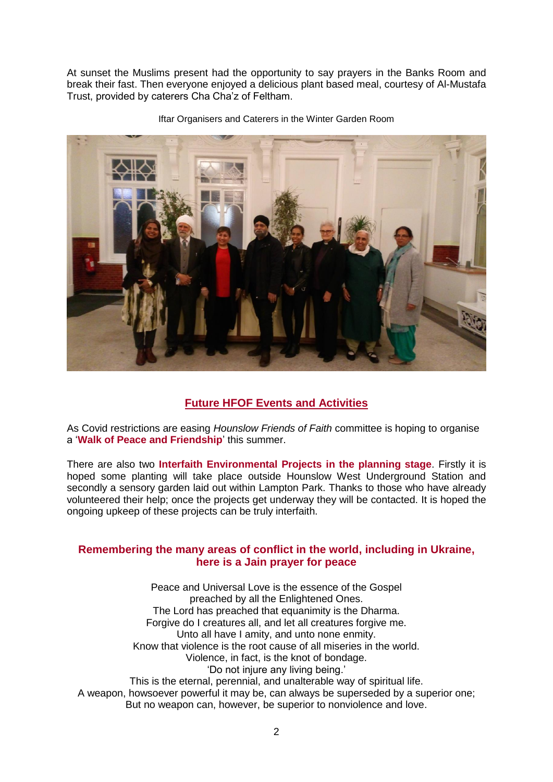At sunset the Muslims present had the opportunity to say prayers in the Banks Room and break their fast. Then everyone enjoyed a delicious plant based meal, courtesy of Al-Mustafa Trust, provided by caterers Cha Cha'z of Feltham.



Iftar Organisers and Caterers in the Winter Garden Room

## **Future HFOF Events and Activities**

As Covid restrictions are easing *Hounslow Friends of Faith* committee is hoping to organise a '**Walk of Peace and Friendship**' this summer.

There are also two **Interfaith Environmental Projects in the planning stage**. Firstly it is hoped some planting will take place outside Hounslow West Underground Station and secondly a sensory garden laid out within Lampton Park. Thanks to those who have already volunteered their help; once the projects get underway they will be contacted. It is hoped the ongoing upkeep of these projects can be truly interfaith.

### **Remembering the many areas of conflict in the world, including in Ukraine, here is a Jain prayer for peace**

Peace and Universal Love is the essence of the Gospel preached by all the Enlightened Ones. The Lord has preached that equanimity is the Dharma. Forgive do I creatures all, and let all creatures forgive me. Unto all have I amity, and unto none enmity. Know that violence is the root cause of all miseries in the world. Violence, in fact, is the knot of bondage. 'Do not injure any living being.' This is the eternal, perennial, and unalterable way of spiritual life. A weapon, howsoever powerful it may be, can always be superseded by a superior one; But no weapon can, however, be superior to nonviolence and love.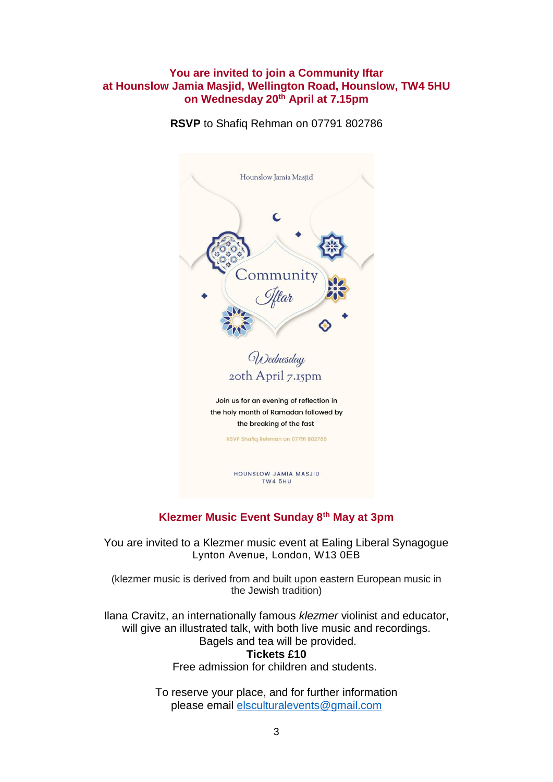### **You are invited to join a Community Iftar at Hounslow Jamia Masjid, Wellington Road, Hounslow, TW4 5HU on Wednesday 20th April at 7.15pm**

**RSVP** to Shafiq Rehman on 07791 802786



## **Klezmer Music Event Sunday 8th May at 3pm**

You are invited to a Klezmer music event at Ealing Liberal Synagogue Lynton Avenue, London, W13 0EB

(klezmer music is derived from and built upon eastern European music in the [Jewish](https://www.britannica.com/topic/Jew-people) tradition)

Ilana Cravitz, an internationally famous *klezmer* violinist and educator, will give an illustrated talk, with both live music and recordings. Bagels and tea will be provided. **Tickets £10**

Free admission for children and students.

To reserve your place, and for further information please email [elsculturalevents@gmail.com](mailto:elsculturalevents@gmail.com)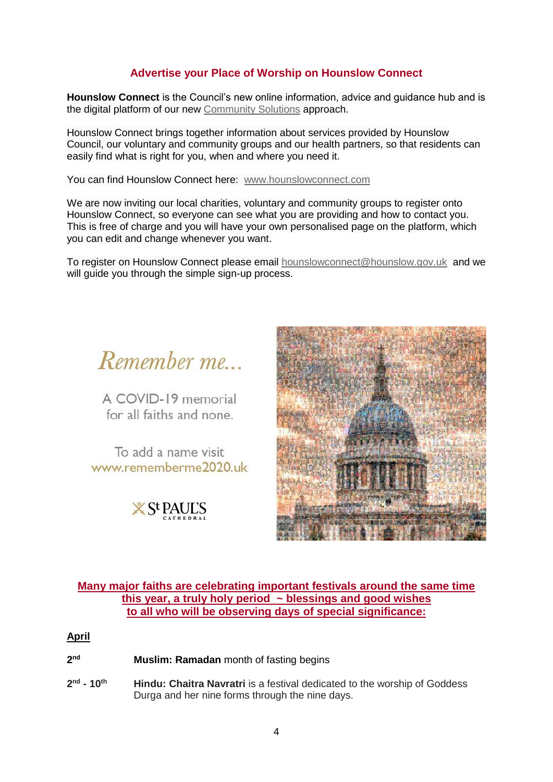## **Advertise your Place of Worship on Hounslow Connect**

**Hounslow Connect** is the Council's new online information, advice and guidance hub and is the digital platform of our new [Community Solutions](https://hounslow.us5.list-manage.com/track/click?u=c836c51effef2936cb32e5ec5&id=915dea243e&e=f898814dc7) approach.

Hounslow Connect brings together information about services provided by Hounslow Council, our voluntary and community groups and our health partners, so that residents can easily find what is right for you, when and where you need it.

You can find Hounslow Connect here: [www.hounslowconnect.com](https://hounslow.us5.list-manage.com/track/click?u=c836c51effef2936cb32e5ec5&id=967c546df5&e=f898814dc7)

We are now inviting our local charities, voluntary and community groups to register onto Hounslow Connect, so everyone can see what you are providing and how to contact you. This is free of charge and you will have your own personalised page on the platform, which you can edit and change whenever you want.

To register on Hounslow Connect please email [hounslowconnect@hounslow.gov.uk](mailto:hounslowconnect@hounslow.gov.uk) and we will quide you through the simple sign-up process.

Remember me

A COVID-19 memorial for all faiths and none

To add a name visit www.rememberme2020.uk

 $X$  S<sup>t</sup> PAUL'S



#### **Many major faiths are celebrating important festivals around the same time this year, a truly holy period ~ blessings and good wishes to all who will be observing days of special significance:**

#### **April**

**2 nd Muslim: Ramadan** month of fasting begins

**2 nd - 10th Hindu: Chaitra Navratri** is a festival dedicated to the worship of Goddess Durga and her nine forms through the nine days.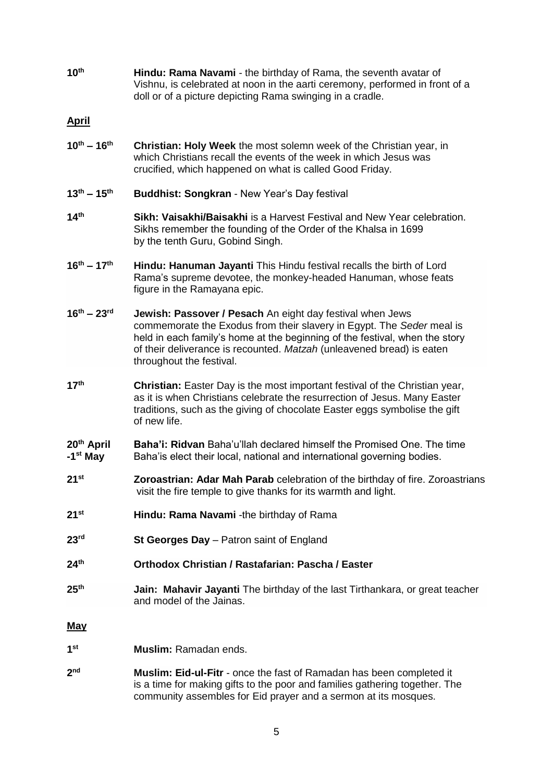**10th Hindu: Rama Navami** - the birthday of Rama, the seventh avatar of Vishnu, is celebrated at noon in the aarti ceremony, performed in front of a doll or of a picture depicting Rama swinging in a cradle.

#### **April**

- **10th – 16th Christian: Holy Week** the most solemn week of the Christian year, in which Christians recall the events of the week in which Jesus was crucified, which happened on what is called Good Friday.
- **13th – 15th Buddhist: Songkran** New Year's Day festival
- **14th Sikh: Vaisakhi/Baisakhi** is a Harvest Festival and New Year celebration. Sikhs remember the founding of the Order of the Khalsa in 1699 by the tenth Guru, Gobind Singh.
- **16th – 17th Hindu: Hanuman Jayanti** This Hindu festival recalls the birth of Lord Rama's supreme devotee, the monkey-headed Hanuman, whose feats figure in the Ramayana epic.
- **16th – 23rd Jewish: Passover / Pesach** An eight day festival when Jews commemorate the Exodus from their slavery in Egypt. The *Seder* meal is held in each family's home at the beginning of the festival, when the story of their deliverance is recounted. *Matzah* (unleavened bread) is eaten throughout the festival.
- **17th Christian:** Easter Day is the most important festival of the Christian year, as it is when Christians celebrate the resurrection of Jesus. Many Easter traditions, such as the giving of chocolate Easter eggs symbolise the gift of new life.
- **20th April Baha'i: Ridvan** Baha'u'llah declared himself the Promised One. The time **-1** Baha'is elect their local, national and international governing bodies.
- **21st Zoroastrian: Adar Mah Parab** celebration of the birthday of fire. Zoroastrians visit the fire temple to give thanks for its warmth and light.
- **21st Hindu: Rama Navami** -the birthday of Rama
- **23rd St Georges Day** Patron saint of England
- **24th Orthodox Christian / Rastafarian: Pascha / Easter**
- **25th Jain: Mahavir Jayanti** The birthday of the last Tirthankara, or great teacher and model of the Jainas.

#### **May**

- **1 st Muslim:** Ramadan ends.
- $2<sub>nd</sub>$ **Muslim: Eid-ul-Fitr** - once the fast of Ramadan has been completed it is a time for making gifts to the poor and families gathering together. The community assembles for Eid prayer and a sermon at its mosques.